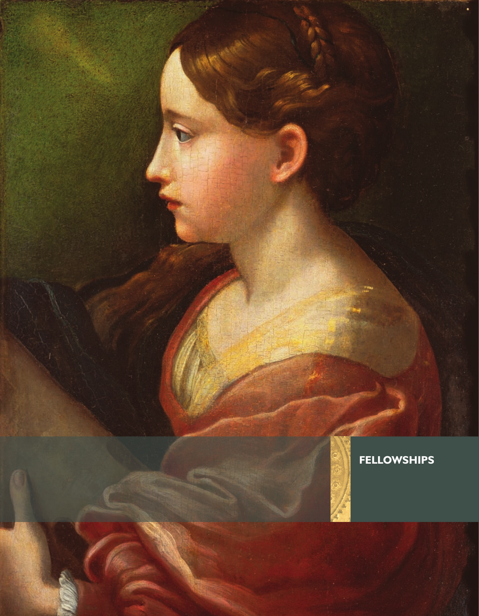### **FELLOWSHIPS**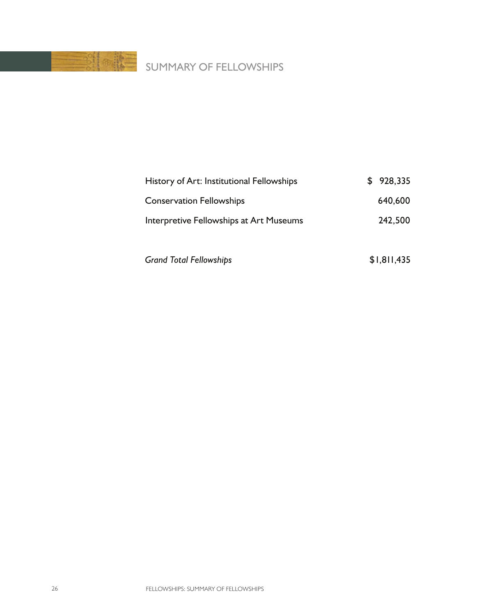

## SUMMARY OF FELLOWSHIPS

| History of Art: Institutional Fellowships | \$928,335 |
|-------------------------------------------|-----------|
| <b>Conservation Fellowships</b>           | 640.600   |
| Interpretive Fellowships at Art Museums   | 242,500   |
|                                           |           |

Grand Total Fellowships **\$1,811,435**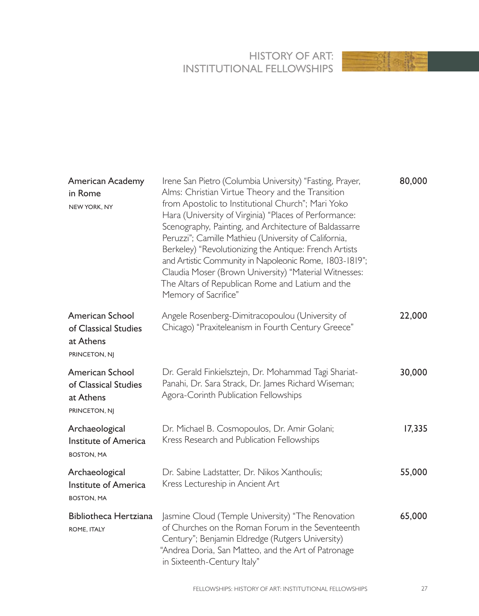#### HISTORY OF ART: INSTITUTIONAL FELLOWSHIPS



| American Academy<br>in Rome<br>NEW YORK, NY                           | Irene San Pietro (Columbia University) "Fasting, Prayer,<br>Alms: Christian Virtue Theory and the Transition<br>from Apostolic to Institutional Church"; Mari Yoko<br>Hara (University of Virginia) "Places of Performance:<br>Scenography, Painting, and Architecture of Baldassarre<br>Peruzzi"; Camille Mathieu (University of California,<br>Berkeley) "Revolutionizing the Antique: French Artists<br>and Artistic Community in Napoleonic Rome, 1803-1819";<br>Claudia Moser (Brown University) "Material Witnesses:<br>The Altars of Republican Rome and Latium and the<br>Memory of Sacrifice" | 80,000 |
|-----------------------------------------------------------------------|--------------------------------------------------------------------------------------------------------------------------------------------------------------------------------------------------------------------------------------------------------------------------------------------------------------------------------------------------------------------------------------------------------------------------------------------------------------------------------------------------------------------------------------------------------------------------------------------------------|--------|
| American School<br>of Classical Studies<br>at Athens<br>PRINCETON, NJ | Angele Rosenberg-Dimitracopoulou (University of<br>Chicago) "Praxiteleanism in Fourth Century Greece"                                                                                                                                                                                                                                                                                                                                                                                                                                                                                                  | 22,000 |
| American School<br>of Classical Studies<br>at Athens<br>PRINCETON, NJ | Dr. Gerald Finkielsztejn, Dr. Mohammad Tagi Shariat-<br>Panahi, Dr. Sara Strack, Dr. James Richard Wiseman;<br>Agora-Corinth Publication Fellowships                                                                                                                                                                                                                                                                                                                                                                                                                                                   | 30,000 |
| Archaeological<br>Institute of America<br><b>BOSTON, MA</b>           | Dr. Michael B. Cosmopoulos, Dr. Amir Golani;<br>Kress Research and Publication Fellowships                                                                                                                                                                                                                                                                                                                                                                                                                                                                                                             | 17,335 |
| Archaeological<br>Institute of America<br><b>BOSTON, MA</b>           | Dr. Sabine Ladstatter, Dr. Nikos Xanthoulis;<br>Kress Lectureship in Ancient Art                                                                                                                                                                                                                                                                                                                                                                                                                                                                                                                       | 55,000 |
| Bibliotheca Hertziana<br>ROME, ITALY                                  | Jasmine Cloud (Temple University) "The Renovation<br>of Churches on the Roman Forum in the Seventeenth<br>Century"; Benjamin Eldredge (Rutgers University)<br>"Andrea Doria, San Matteo, and the Art of Patronage<br>in Sixteenth-Century Italy"                                                                                                                                                                                                                                                                                                                                                       | 65,000 |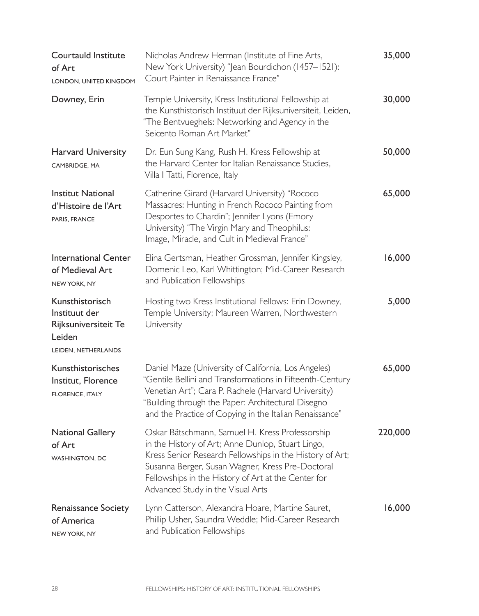| Courtauld Institute<br>of Art<br>LONDON, UNITED KINGDOM                                   | Nicholas Andrew Herman (Institute of Fine Arts,<br>New York University) "Jean Bourdichon (1457-1521):<br>Court Painter in Renaissance France"                                                                                                                                                                    | 35,000  |
|-------------------------------------------------------------------------------------------|------------------------------------------------------------------------------------------------------------------------------------------------------------------------------------------------------------------------------------------------------------------------------------------------------------------|---------|
| Downey, Erin                                                                              | Temple University, Kress Institutional Fellowship at<br>the Kunsthistorisch Instituut der Rijksuniversiteit, Leiden,<br>"The Bentvueghels: Networking and Agency in the<br>Seicento Roman Art Market"                                                                                                            | 30,000  |
| Harvard University<br>CAMBRIDGE, MA                                                       | Dr. Eun Sung Kang, Rush H. Kress Fellowship at<br>the Harvard Center for Italian Renaissance Studies,<br>Villa I Tatti, Florence, Italy                                                                                                                                                                          | 50,000  |
| <b>Institut National</b><br>d'Histoire de l'Art<br>PARIS, FRANCE                          | Catherine Girard (Harvard University) "Rococo<br>Massacres: Hunting in French Rococo Painting from<br>Desportes to Chardin"; Jennifer Lyons (Emory<br>University) "The Virgin Mary and Theophilus:<br>Image, Miracle, and Cult in Medieval France"                                                               | 65,000  |
| International Center<br>of Medieval Art<br>NEW YORK, NY                                   | Elina Gertsman, Heather Grossman, Jennifer Kingsley,<br>Domenic Leo, Karl Whittington; Mid-Career Research<br>and Publication Fellowships                                                                                                                                                                        | 16,000  |
| Kunsthistorisch<br>Instituut der<br>Rijksuniversiteit Te<br>Leiden<br>LEIDEN, NETHERLANDS | Hosting two Kress Institutional Fellows: Erin Downey,<br>Temple University; Maureen Warren, Northwestern<br>University                                                                                                                                                                                           | 5,000   |
| Kunsthistorisches<br>Institut, Florence<br><b>FLORENCE, ITALY</b>                         | Daniel Maze (University of California, Los Angeles)<br>"Gentile Bellini and Transformations in Fifteenth-Century<br>Venetian Art"; Cara P. Rachele (Harvard University)<br>"Building through the Paper: Architectural Disegno<br>and the Practice of Copying in the Italian Renaissance"                         | 65,000  |
| <b>National Gallery</b><br>of Art<br>WASHINGTON, DC                                       | Oskar Bätschmann, Samuel H. Kress Professorship<br>in the History of Art; Anne Dunlop, Stuart Lingo,<br>Kress Senior Research Fellowships in the History of Art;<br>Susanna Berger, Susan Wagner, Kress Pre-Doctoral<br>Fellowships in the History of Art at the Center for<br>Advanced Study in the Visual Arts | 220,000 |
| Renaissance Society<br>of America<br>NEW YORK, NY                                         | Lynn Catterson, Alexandra Hoare, Martine Sauret,<br>Phillip Usher, Saundra Weddle; Mid-Career Research<br>and Publication Fellowships                                                                                                                                                                            | 16,000  |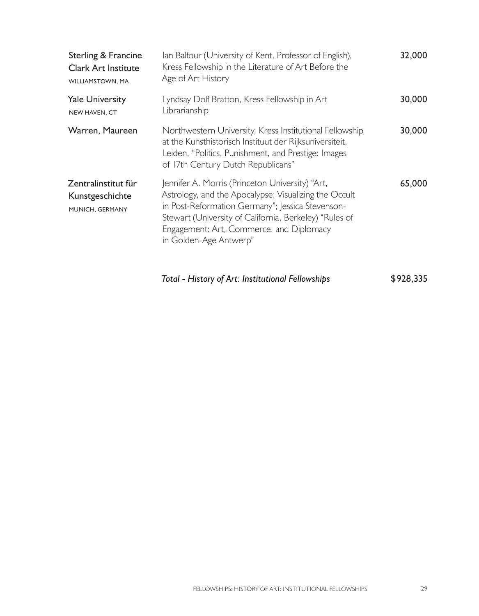| Sterling & Francine<br><b>Clark Art Institute</b><br>WILLIAMSTOWN, MA | Ian Balfour (University of Kent, Professor of English),<br>Kress Fellowship in the Literature of Art Before the<br>Age of Art History                                                                                                                                                        | 32,000 |
|-----------------------------------------------------------------------|----------------------------------------------------------------------------------------------------------------------------------------------------------------------------------------------------------------------------------------------------------------------------------------------|--------|
| <b>Yale University</b><br>NEW HAVEN, CT                               | Lyndsay Dolf Bratton, Kress Fellowship in Art<br>Librarianship                                                                                                                                                                                                                               | 30,000 |
| Warren, Maureen                                                       | Northwestern University, Kress Institutional Fellowship<br>at the Kunsthistorisch Instituut der Rijksuniversiteit,<br>Leiden, "Politics, Punishment, and Prestige: Images<br>of 17th Century Dutch Republicans"                                                                              | 30,000 |
| Zentralinstitut für<br>Kunstgeschichte<br>MUNICH, GERMANY             | Jennifer A. Morris (Princeton University) "Art,<br>Astrology, and the Apocalypse: Visualizing the Occult<br>in Post-Reformation Germany"; Jessica Stevenson-<br>Stewart (University of California, Berkeley) "Rules of<br>Engagement: Art, Commerce, and Diplomacy<br>in Golden-Age Antwerp" | 65.000 |

*Total - History of Art: Institutional Fellowships* \$928,335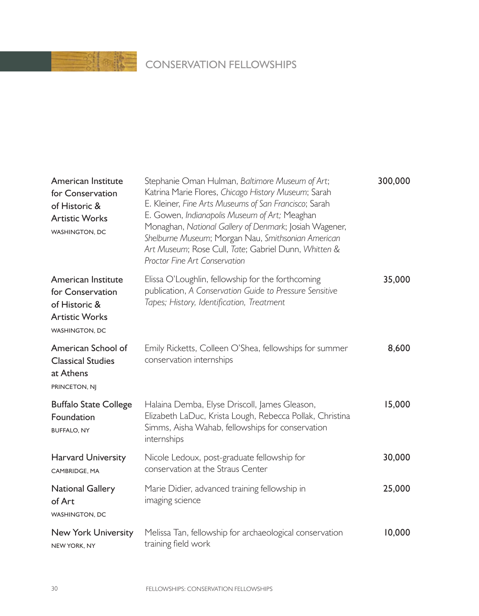# **CONSERVATION FELLOWSHIPS**

| American Institute<br>for Conservation<br>of Historic &<br><b>Artistic Works</b><br>WASHINGTON, DC        | Stephanie Oman Hulman, Baltimore Museum of Art;<br>Katrina Marie Flores, Chicago History Museum; Sarah<br>E. Kleiner, Fine Arts Museums of San Francisco; Sarah<br>E. Gowen, Indianapolis Museum of Art; Meaghan<br>Monaghan, National Gallery of Denmark; Josiah Wagener,<br>Shelburne Museum; Morgan Nau, Smithsonian American<br>Art Museum; Rose Cull, Tate; Gabriel Dunn, Whitten &<br>Proctor Fine Art Conservation | 300,000 |
|-----------------------------------------------------------------------------------------------------------|---------------------------------------------------------------------------------------------------------------------------------------------------------------------------------------------------------------------------------------------------------------------------------------------------------------------------------------------------------------------------------------------------------------------------|---------|
| American Institute<br>for Conservation<br>of Historic &<br><b>Artistic Works</b><br><b>WASHINGTON, DC</b> | Elissa O'Loughlin, fellowship for the forthcoming<br>publication, A Conservation Guide to Pressure Sensitive<br>Tapes; History, Identification, Treatment                                                                                                                                                                                                                                                                 | 35,000  |
| American School of<br><b>Classical Studies</b><br>at Athens<br>PRINCETON, NJ                              | Emily Ricketts, Colleen O'Shea, fellowships for summer<br>conservation internships                                                                                                                                                                                                                                                                                                                                        | 8,600   |
| <b>Buffalo State College</b><br>Foundation<br><b>BUFFALO, NY</b>                                          | Halaina Demba, Elyse Driscoll, James Gleason,<br>Elizabeth LaDuc, Krista Lough, Rebecca Pollak, Christina<br>Simms, Aisha Wahab, fellowships for conservation<br>internships                                                                                                                                                                                                                                              | 15,000  |
| <b>Harvard University</b><br>CAMBRIDGE, MA                                                                | Nicole Ledoux, post-graduate fellowship for<br>conservation at the Straus Center                                                                                                                                                                                                                                                                                                                                          | 30,000  |
| <b>National Gallery</b><br>of Art<br><b>WASHINGTON, DC</b>                                                | Marie Didier, advanced training fellowship in<br>imaging science                                                                                                                                                                                                                                                                                                                                                          | 25,000  |
| New York University<br><b>NEW YORK, NY</b>                                                                | Melissa Tan, fellowship for archaeological conservation<br>training field work                                                                                                                                                                                                                                                                                                                                            | 10,000  |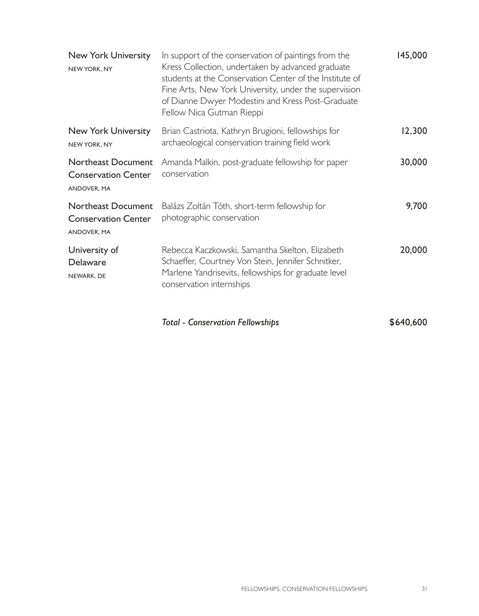| New York University<br>NEW YORK, NY                             | In support of the conservation of paintings from the<br>Kress Collection, undertaken by advanced graduate<br>students at the Conservation Center of the Institute of<br>Fine Arts, New York University, under the supervision<br>of Dianne Dwyer Modestini and Kress Post-Graduate<br>Fellow Nica Gutman Rieppi | 145,000 |
|-----------------------------------------------------------------|-----------------------------------------------------------------------------------------------------------------------------------------------------------------------------------------------------------------------------------------------------------------------------------------------------------------|---------|
| New York University<br>NEW YORK, NY                             | Brian Castriota, Kathryn Brugioni, fellowships for<br>archaeological conservation training field work                                                                                                                                                                                                           | 12,300  |
| Northeast Document<br><b>Conservation Center</b><br>ANDOVER, MA | Amanda Malkin, post-graduate fellowship for paper<br>conservation                                                                                                                                                                                                                                               | 30,000  |
| Northeast Document<br><b>Conservation Center</b><br>ANDOVER, MA | Balázs Zoltán Tóth, short-term fellowship for<br>photographic conservation                                                                                                                                                                                                                                      | 9,700   |
| University of<br>Delaware<br>NEWARK, DE                         | Rebecca Kaczkowski, Samantha Skelton, Elizabeth<br>Schaeffer, Courtney Von Stein, Jennifer Schnitker,<br>Marlene Yandrisevits, fellowships for graduate level<br>conservation internships                                                                                                                       | 20,000  |

Total - Conservation Fellowships<br>
\$640,600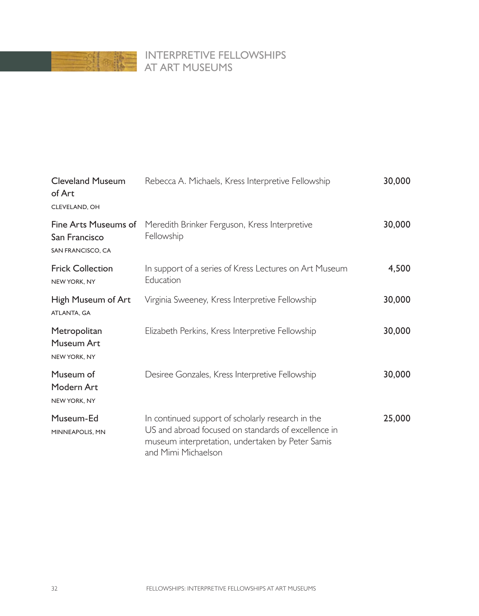

#### INTERPRETIVE FELLOWSHIPS AT ART MUSEUMS

| Rebecca A. Michaels, Kress Interpretive Fellowship                                                                                                                                  | 30,000 |
|-------------------------------------------------------------------------------------------------------------------------------------------------------------------------------------|--------|
| Meredith Brinker Ferguson, Kress Interpretive<br>Fellowship                                                                                                                         | 30,000 |
| In support of a series of Kress Lectures on Art Museum<br>Education                                                                                                                 | 4,500  |
| Virginia Sweeney, Kress Interpretive Fellowship                                                                                                                                     | 30,000 |
| Elizabeth Perkins, Kress Interpretive Fellowship                                                                                                                                    | 30,000 |
| Desiree Gonzales, Kress Interpretive Fellowship                                                                                                                                     | 30,000 |
| In continued support of scholarly research in the<br>US and abroad focused on standards of excellence in<br>museum interpretation, undertaken by Peter Samis<br>and Mimi Michaelson | 25,000 |
|                                                                                                                                                                                     |        |